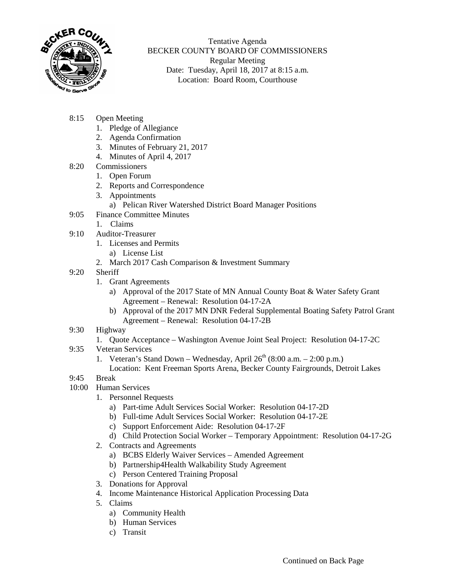

Tentative Agenda BECKER COUNTY BOARD OF COMMISSIONERS Regular Meeting Date: Tuesday, April 18, 2017 at 8:15 a.m. Location: Board Room, Courthouse

- 8:15 Open Meeting
	- 1. Pledge of Allegiance
	- 2. Agenda Confirmation
	- 3. Minutes of February 21, 2017
	- 4. Minutes of April 4, 2017
- 8:20 Commissioners
	- 1. Open Forum
	- 2. Reports and Correspondence
	- 3. Appointments
		- a) Pelican River Watershed District Board Manager Positions
- 9:05 Finance Committee Minutes
	- 1. Claims
- 9:10 Auditor-Treasurer
	- 1. Licenses and Permits
		- a) License List
	- 2. March 2017 Cash Comparison & Investment Summary
- 9:20 Sheriff
	- 1. Grant Agreements
		- a) Approval of the 2017 State of MN Annual County Boat & Water Safety Grant Agreement – Renewal: Resolution 04-17-2A
		- b) Approval of the 2017 MN DNR Federal Supplemental Boating Safety Patrol Grant Agreement – Renewal: Resolution 04-17-2B
- 9:30 Highway
	- 1. Quote Acceptance Washington Avenue Joint Seal Project: Resolution 04-17-2C
- 9:35 Veteran Services
	- 1. Veteran's Stand Down Wednesday, April  $26<sup>th</sup>$  (8:00 a.m. 2:00 p.m.)
		- Location: Kent Freeman Sports Arena, Becker County Fairgrounds, Detroit Lakes
- 9:45 Break
- 10:00 Human Services
	- 1. Personnel Requests
		- a) Part-time Adult Services Social Worker: Resolution 04-17-2D
		- b) Full-time Adult Services Social Worker: Resolution 04-17-2E
		- c) Support Enforcement Aide: Resolution 04-17-2F
		- d) Child Protection Social Worker Temporary Appointment: Resolution 04-17-2G
	- 2. Contracts and Agreements
		- a) BCBS Elderly Waiver Services Amended Agreement
		- b) Partnership4Health Walkability Study Agreement
		- c) Person Centered Training Proposal
	- 3. Donations for Approval
	- 4. Income Maintenance Historical Application Processing Data
	- 5. Claims
		- a) Community Health
		- b) Human Services
		- c) Transit